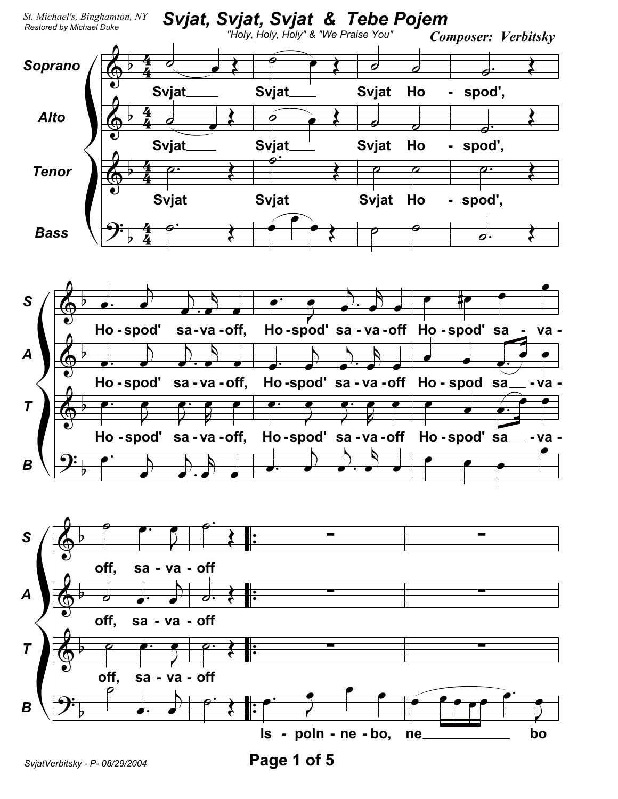

Page 1 of 5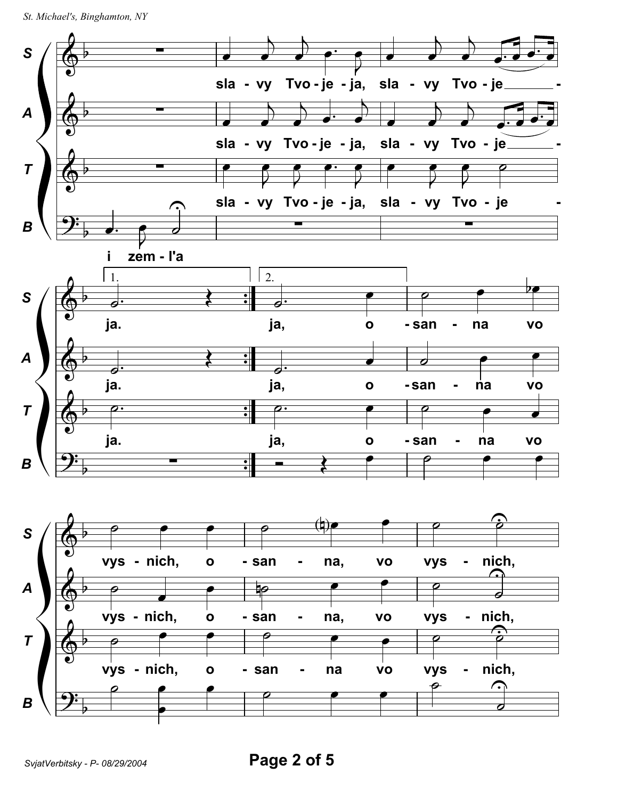```
St. Michael's, Binghamton, NY
```
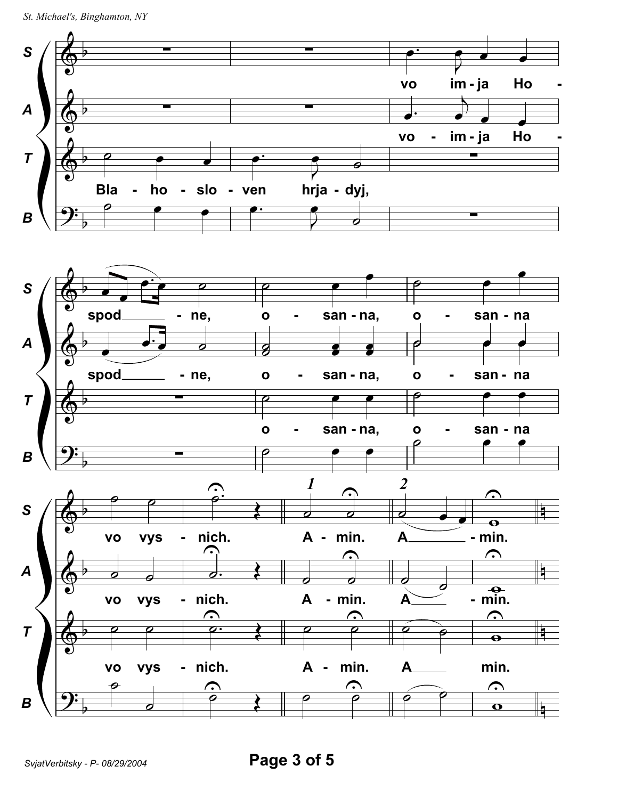```
St. Michael's, Binghamton, NY
```
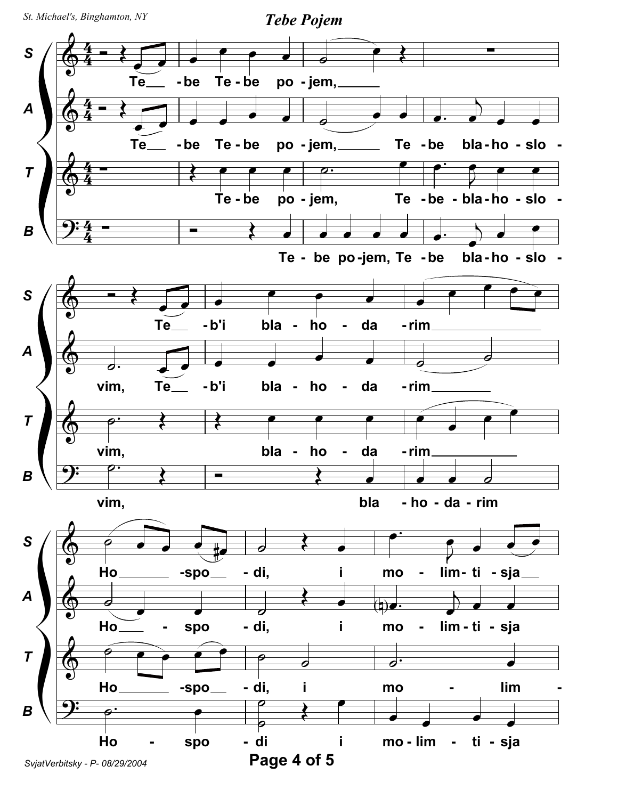